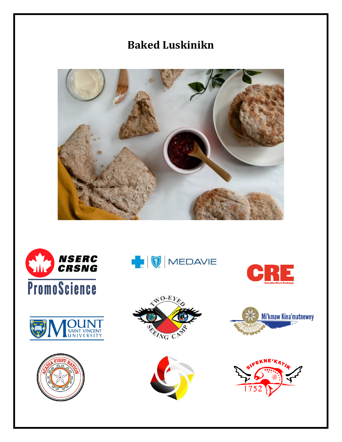# **Baked Luskinikn**



















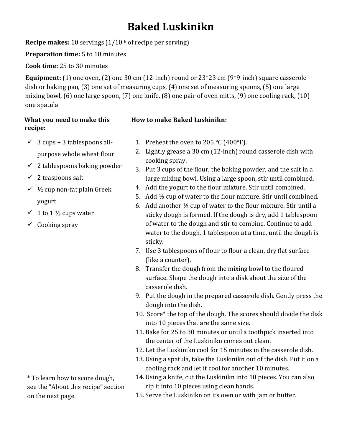## **Baked Luskinikn**

**Recipe makes:** 10 servings (1/10<sup>th</sup> of recipe per serving)

**Preparation time:** 5 to 10 minutes

**Cook time:** 25 to 30 minutes

**Equipment:** (1) one oven, (2) one 30 cm (12-inch) round or 23\*23 cm (9\*9-inch) square casserole dish or baking pan, (3) one set of measuring cups, (4) one set of measuring spoons, (5) one large mixing bowl, (6) one large spoon, (7) one knife, (8) one pair of oven mitts, (9) one cooling rack, (10) one spatula

#### **What you need to make this recipe:**

### **How to make Baked Luskinikn:**

- $\checkmark$  3 cups + 3 tablespoons allpurpose whole wheat flour
- $\checkmark$  2 tablespoons baking powder
- $\checkmark$  2 teaspoons salt
- $\checkmark$  1/<sub>2</sub> cup non-fat plain Greek yogurt
- $\checkmark$  1 to 1 ½ cups water
- $\checkmark$  Cooking spray
- 1. Preheat the oven to 205 °C (400°F).
- 2. Lightly grease a 30 cm (12-inch) round casserole dish with cooking spray.
- 3. Put 3 cups of the flour, the baking powder, and the salt in a large mixing bowl. Using a large spoon, stir until combined.
- 4. Add the yogurt to the flour mixture. Stir until combined.
- 5. Add ½ cup of water to the flour mixture. Stir until combined.
- 6. Add another  $\frac{1}{2}$  cup of water to the flour mixture. Stir until a sticky dough is formed. If the dough is dry, add 1 tablespoon of water to the dough and stir to combine. Continue to add water to the dough, 1 tablespoon at a time, until the dough is sticky.
- 7. Use 3 tablespoons of flour to flour a clean, dry flat surface (like a counter).
- 8. Transfer the dough from the mixing bowl to the floured surface. Shape the dough into a disk about the size of the casserole dish.
- 9. Put the dough in the prepared casserole dish. Gently press the dough into the dish.
- 10. Score\* the top of the dough. The scores should divide the disk into 10 pieces that are the same size.
- 11. Bake for 25 to 30 minutes or until a toothpick inserted into the center of the Luskinikn comes out clean.
- 12. Let the Luskinikn cool for 15 minutes in the casserole dish.
- 13. Using a spatula, take the Luskinikn out of the dish. Put it on a cooling rack and let it cool for another 10 minutes.
- 14. Using a knife, cut the Luskinikn into 10 pieces. You can also rip it into 10 pieces using clean hands.
- 15. Serve the Luskinikn on its own or with jam or butter.

\* To learn how to score dough, see the "About this recipe" section on the next page.